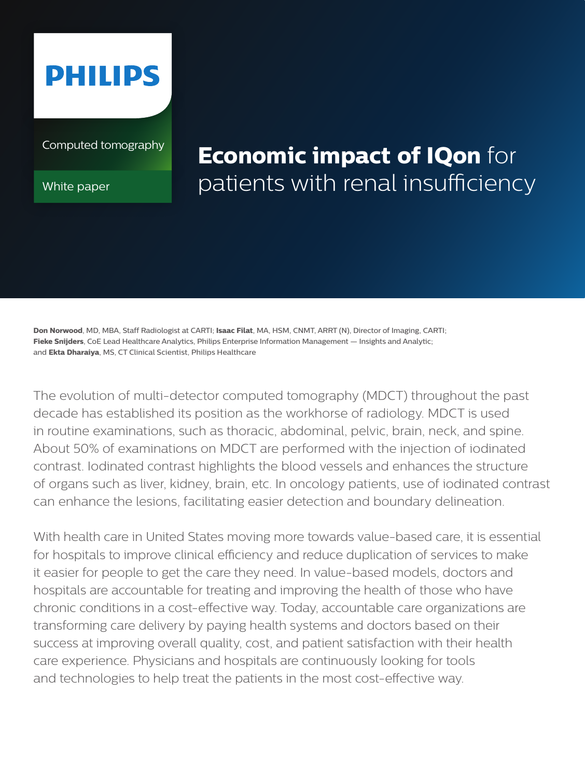

Computed tomography

White paper

# **Economic impact of IQon** for patients with renal insufficiency

**Don Norwood**, MD, MBA, Staff Radiologist at CARTI; **Isaac Filat**, MA, HSM, CNMT, ARRT (N), Director of Imaging, CARTI; **Fieke Snijders**, CoE Lead Healthcare Analytics, Philips Enterprise Information Management — Insights and Analytic; and **Ekta Dharaiya**, MS, CT Clinical Scientist, Philips Healthcare

The evolution of multi-detector computed tomography (MDCT) throughout the past decade has established its position as the workhorse of radiology. MDCT is used in routine examinations, such as thoracic, abdominal, pelvic, brain, neck, and spine. About 50% of examinations on MDCT are performed with the injection of iodinated contrast. Iodinated contrast highlights the blood vessels and enhances the structure of organs such as liver, kidney, brain, etc. In oncology patients, use of iodinated contrast can enhance the lesions, facilitating easier detection and boundary delineation.

With health care in United States moving more towards value-based care, it is essential for hospitals to improve clinical efficiency and reduce duplication of services to make it easier for people to get the care they need. In value-based models, doctors and hospitals are accountable for treating and improving the health of those who have chronic conditions in a cost-effective way. Today, accountable care organizations are transforming care delivery by paying health systems and doctors based on their success at improving overall quality, cost, and patient satisfaction with their health care experience. Physicians and hospitals are continuously looking for tools and technologies to help treat the patients in the most cost-effective way.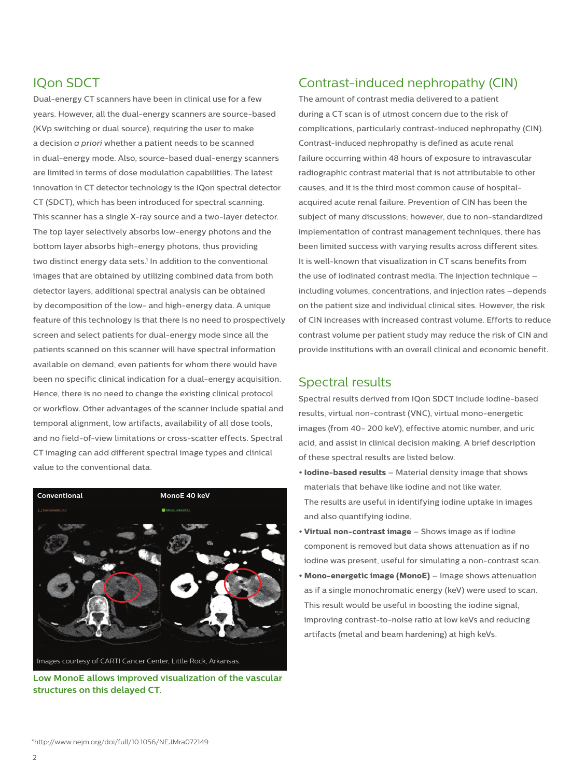## IQon SDCT

Dual-energy CT scanners have been in clinical use for a few years. However, all the dual-energy scanners are source-based (KVp switching or dual source), requiring the user to make a decision *a priori* whether a patient needs to be scanned in dual-energy mode. Also, source-based dual-energy scanners are limited in terms of dose modulation capabilities. The latest innovation in CT detector technology is the IQon spectral detector CT (SDCT), which has been introduced for spectral scanning. This scanner has a single X-ray source and a two-layer detector. The top layer selectively absorbs low-energy photons and the bottom layer absorbs high-energy photons, thus providing two distinct energy data sets.<sup>1</sup> In addition to the conventional images that are obtained by utilizing combined data from both detector layers, additional spectral analysis can be obtained by decomposition of the low- and high-energy data. A unique feature of this technology is that there is no need to prospectively screen and select patients for dual-energy mode since all the patients scanned on this scanner will have spectral information available on demand, even patients for whom there would have been no specific clinical indication for a dual-energy acquisition. Hence, there is no need to change the existing clinical protocol or workflow. Other advantages of the scanner include spatial and temporal alignment, low artifacts, availability of all dose tools, and no field-of-view limitations or cross-scatter effects. Spectral CT imaging can add different spectral image types and clinical value to the conventional data.



**Low MonoE allows improved visualization of the vascular structures on this delayed CT.** 

# Contrast-induced nephropathy (CIN)

The amount of contrast media delivered to a patient during a CT scan is of utmost concern due to the risk of complications, particularly contrast-induced nephropathy (CIN). Contrast-induced nephropathy is defined as acute renal failure occurring within 48 hours of exposure to intravascular radiographic contrast material that is not attributable to other causes, and it is the third most common cause of hospitalacquired acute renal failure. Prevention of CIN has been the subject of many discussions; however, due to non-standardized implementation of contrast management techniques, there has been limited success with varying results across different sites. It is well-known that visualization in CT scans benefits from the use of iodinated contrast media. The injection technique – including volumes, concentrations, and injection rates –depends on the patient size and individual clinical sites. However, the risk of CIN increases with increased contrast volume. Efforts to reduce contrast volume per patient study may reduce the risk of CIN and provide institutions with an overall clinical and economic benefit.

## Spectral results

Spectral results derived from IQon SDCT include iodine-based results, virtual non-contrast (VNC), virtual mono-energetic images (from 40- 200 keV), effective atomic number, and uric acid, and assist in clinical decision making. A brief description of these spectral results are listed below.

- **• Iodine-based results** Material density image that shows materials that behave like iodine and not like water. The results are useful in identifying iodine uptake in images and also quantifying iodine.
- **• Virtual non-contrast image** Shows image as if iodine component is removed but data shows attenuation as if no iodine was present, useful for simulating a non-contrast scan.
- **• Mono-energetic image (MonoE)**  Image shows attenuation as if a single monochromatic energy (keV) were used to scan. This result would be useful in boosting the iodine signal, improving contrast-to-noise ratio at low keVs and reducing artifacts (metal and beam hardening) at high keVs.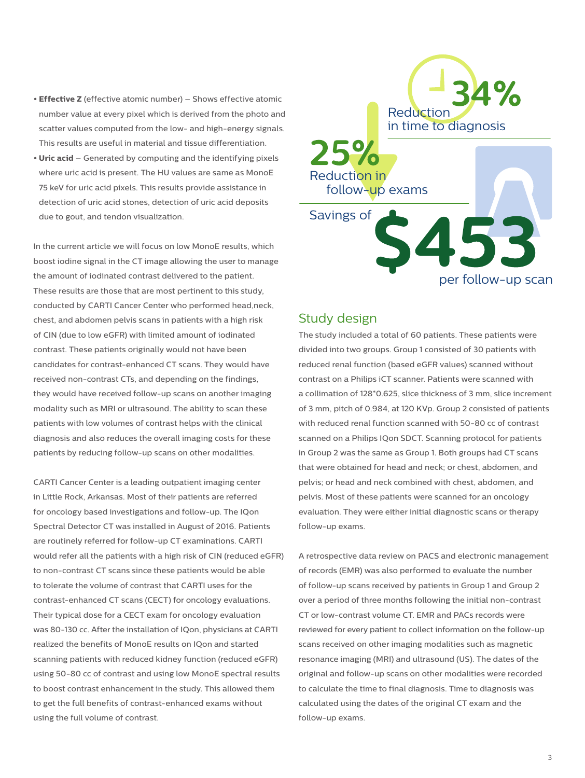- **• Effective Z** (effective atomic number) Shows effective atomic number value at every pixel which is derived from the photo and scatter values computed from the low- and high-energy signals. This results are useful in material and tissue differentiation.
- **• Uric acid**  Generated by computing and the identifying pixels where uric acid is present. The HU values are same as MonoE 75 keV for uric acid pixels. This results provide assistance in detection of uric acid stones, detection of uric acid deposits due to gout, and tendon visualization.

In the current article we will focus on low MonoE results, which boost iodine signal in the CT image allowing the user to manage the amount of iodinated contrast delivered to the patient. These results are those that are most pertinent to this study, conducted by CARTI Cancer Center who performed head,neck, chest, and abdomen pelvis scans in patients with a high risk of CIN (due to low eGFR) with limited amount of iodinated contrast. These patients originally would not have been candidates for contrast-enhanced CT scans. They would have received non-contrast CTs, and depending on the findings, they would have received follow-up scans on another imaging modality such as MRI or ultrasound. The ability to scan these patients with low volumes of contrast helps with the clinical diagnosis and also reduces the overall imaging costs for these patients by reducing follow-up scans on other modalities.

CARTI Cancer Center is a leading outpatient imaging center in Little Rock, Arkansas. Most of their patients are referred for oncology based investigations and follow-up. The IQon Spectral Detector CT was installed in August of 2016. Patients are routinely referred for follow-up CT examinations. CARTI would refer all the patients with a high risk of CIN (reduced eGFR) to non-contrast CT scans since these patients would be able to tolerate the volume of contrast that CARTI uses for the contrast-enhanced CT scans (CECT) for oncology evaluations. Their typical dose for a CECT exam for oncology evaluation was 80-130 cc. After the installation of IQon, physicians at CARTI realized the benefits of MonoE results on IQon and started scanning patients with reduced kidney function (reduced eGFR) using 50-80 cc of contrast and using low MonoE spectral results to boost contrast enhancement in the study. This allowed them to get the full benefits of contrast-enhanced exams without using the full volume of contrast.



#### Study design

The study included a total of 60 patients. These patients were divided into two groups. Group 1 consisted of 30 patients with reduced renal function (based eGFR values) scanned without contrast on a Philips iCT scanner. Patients were scanned with a collimation of 128\*0.625, slice thickness of 3 mm, slice increment of 3 mm, pitch of 0.984, at 120 KVp. Group 2 consisted of patients with reduced renal function scanned with 50-80 cc of contrast scanned on a Philips IQon SDCT. Scanning protocol for patients in Group 2 was the same as Group 1. Both groups had CT scans that were obtained for head and neck; or chest, abdomen, and pelvis; or head and neck combined with chest, abdomen, and pelvis. Most of these patients were scanned for an oncology evaluation. They were either initial diagnostic scans or therapy follow-up exams.

A retrospective data review on PACS and electronic management of records (EMR) was also performed to evaluate the number of follow-up scans received by patients in Group 1 and Group 2 over a period of three months following the initial non-contrast CT or low-contrast volume CT. EMR and PACs records were reviewed for every patient to collect information on the follow-up scans received on other imaging modalities such as magnetic resonance imaging (MRI) and ultrasound (US). The dates of the original and follow-up scans on other modalities were recorded to calculate the time to final diagnosis. Time to diagnosis was calculated using the dates of the original CT exam and the follow-up exams.